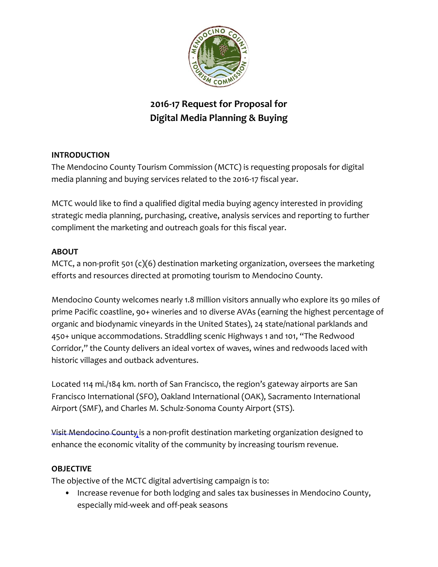

# **2016-17 Request for Proposal for Digital Media Planning & Buying**

## **INTRODUCTION**

The Mendocino County Tourism Commission (MCTC) is requesting proposals for digital media planning and buying services related to the 2016-17 fiscal year.

MCTC would like to find a qualified digital media buying agency interested in providing strategic media planning, purchasing, creative, analysis services and reporting to further compliment the marketing and outreach goals for this fiscal year.

## **ABOUT**

MCTC, a non-profit 501 (c)(6) destination marketing organization, oversees the marketing efforts and resources directed at promoting tourism to Mendocino County.

Mendocino County welcomes nearly 1.8 million visitors annually who explore its 90 miles of prime Pacific coastline, 90+ wineries and 10 diverse AVAs (earning the highest percentage of organic and biodynamic vineyards in the United States), 24 state/national parklands and 450+ unique accommodations. Straddling scenic Highways 1 and 101, "The Redwood Corridor," the County delivers an ideal vortex of waves, wines and redwoods laced with historic villages and outback adventures.

Located 114 mi./184 km. north of San Francisco, the region's gateway airports are San Francisco International (SFO), Oakland International (OAK), Sacramento International Airport (SMF), and Charles M. Schulz-Sonoma County Airport (STS).

Visit Mendocino County is a non-profit destination marketing organization designed to enhance the economic vitality of the community by increasing tourism revenue.

#### **OBJECTIVE**

The objective of the MCTC digital advertising campaign is to:

• Increase revenue for both lodging and sales tax businesses in Mendocino County, especially mid-week and off-peak seasons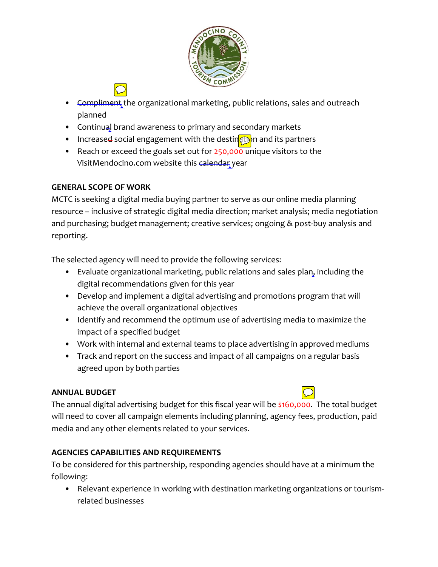

- Compliment the organizational marketing, public relations, sales and outreach planned
- Continual brand awareness to primary and secondary markets
- Increased social engagement with the destin $\bigoplus$ n and its partners
- Reach or exceed the goals set out for 250,000 unique visitors to the VisitMendocino.com website this calendar year

# **GENERAL SCOPE OF WORK**

MCTC is seeking a digital media buying partner to serve as our online media planning resource – inclusive of strategic digital media direction; market analysis; media negotiation and purchasing; budget management; creative services; ongoing & post-buy analysis and reporting.

The selected agency will need to provide the following services:

- Evaluate organizational marketing, public relations and sales plan, including the digital recommendations given for this year
- Develop and implement a digital advertising and promotions program that will achieve the overall organizational objectives
- Identify and recommend the optimum use of advertising media to maximize the impact of a specified budget
- Work with internal and external teams to place advertising in approved mediums
- Track and report on the success and impact of all campaigns on a regular basis agreed upon by both parties

#### **ANNUAL BUDGET**

The annual digital advertising budget for this fiscal year will be \$160,000. The total budget will need to cover all campaign elements including planning, agency fees, production, paid media and any other elements related to your services.

# **AGENCIES CAPABILITIES AND REQUIREMENTS**

To be considered for this partnership, responding agencies should have at a minimum the following:

• Relevant experience in working with destination marketing organizations or tourismrelated businesses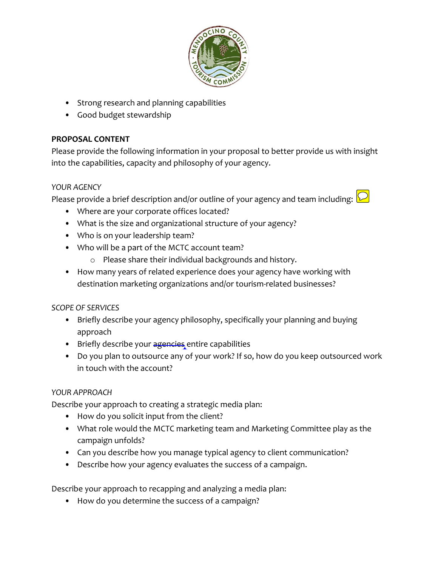

- Strong research and planning capabilities
- Good budget stewardship

#### **PROPOSAL CONTENT**

Please provide the following information in your proposal to better provide us with insight into the capabilities, capacity and philosophy of your agency.

#### *YOUR AGENCY*

Please provide a brief description and/or outline of your agency and team including:  $\boxed{\bigcirc}$ 

- Where are your corporate offices located?
- What is the size and organizational structure of your agency?
- Who is on your leadership team?
- Who will be a part of the MCTC account team?
	- o Please share their individual backgrounds and history.
- How many years of related experience does your agency have working with destination marketing organizations and/or tourism-related businesses?

*SCOPE OF SERVICES*

- Briefly describe your agency philosophy, specifically your planning and buying approach
- Briefly describe your agencies entire capabilities
- Do you plan to outsource any of your work? If so, how do you keep outsourced work in touch with the account?

#### *YOUR APPROACH*

Describe your approach to creating a strategic media plan:

- How do you solicit input from the client?
- What role would the MCTC marketing team and Marketing Committee play as the campaign unfolds?
- Can you describe how you manage typical agency to client communication?
- Describe how your agency evaluates the success of a campaign.

Describe your approach to recapping and analyzing a media plan:

• How do you determine the success of a campaign?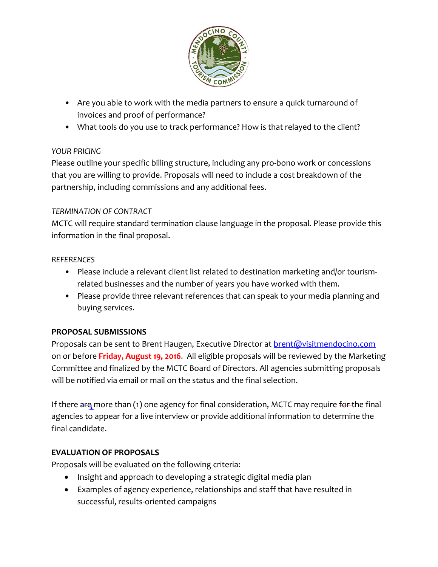

- Are you able to work with the media partners to ensure a quick turnaround of invoices and proof of performance?
- What tools do you use to track performance? How is that relayed to the client?

## *YOUR PRICING*

Please outline your specific billing structure, including any pro-bono work or concessions that you are willing to provide. Proposals will need to include a cost breakdown of the partnership, including commissions and any additional fees.

#### *TERMINATION OF CONTRACT*

MCTC will require standard termination clause language in the proposal. Please provide this information in the final proposal.

#### *REFERENCES*

- Please include a relevant client list related to destination marketing and/or tourismrelated businesses and the number of years you have worked with them.
- Please provide three relevant references that can speak to your media planning and buying services.

#### **PROPOSAL SUBMISSIONS**

Proposals can be sent to Brent Haugen, Executive Director at **brent@visitmendocino.com** on or before **Friday, August 19, 2016**. All eligible proposals will be reviewed by the Marketing Committee and finalized by the MCTC Board of Directors. All agencies submitting proposals will be notified via email or mail on the status and the final selection.

If there are more than  $(1)$  one agency for final consideration, MCTC may require for the final agencies to appear for a live interview or provide additional information to determine the final candidate.

#### **EVALUATION OF PROPOSALS**

Proposals will be evaluated on the following criteria:

- Insight and approach to developing a strategic digital media plan
- Examples of agency experience, relationships and staff that have resulted in successful, results-oriented campaigns